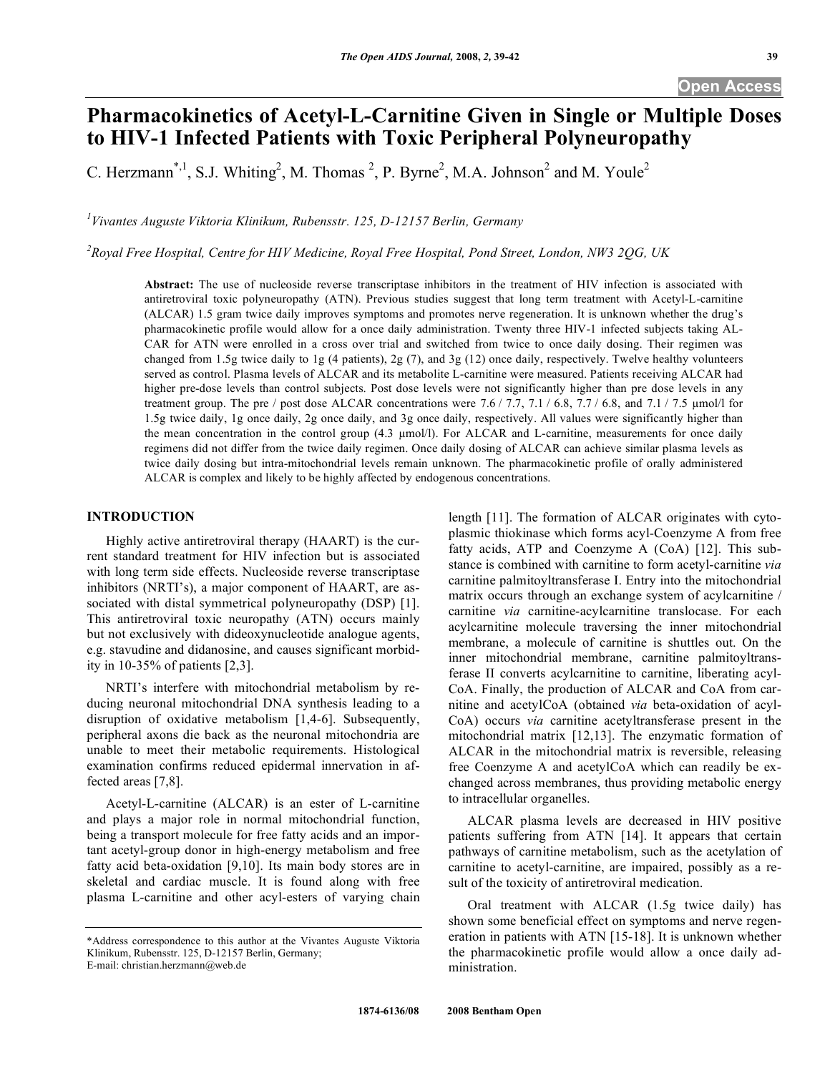# **Pharmacokinetics of Acetyl-L-Carnitine Given in Single or Multiple Doses to HIV-1 Infected Patients with Toxic Peripheral Polyneuropathy**

C. Herzmann<sup>\*,1</sup>, S.J. Whiting<sup>2</sup>, M. Thomas<sup>2</sup>, P. Byrne<sup>2</sup>, M.A. Johnson<sup>2</sup> and M. Youle<sup>2</sup>

*1 Vivantes Auguste Viktoria Klinikum, Rubensstr. 125, D-12157 Berlin, Germany* 

*2 Royal Free Hospital, Centre for HIV Medicine, Royal Free Hospital, Pond Street, London, NW3 2QG, UK* 

**Abstract:** The use of nucleoside reverse transcriptase inhibitors in the treatment of HIV infection is associated with antiretroviral toxic polyneuropathy (ATN). Previous studies suggest that long term treatment with Acetyl-L-carnitine (ALCAR) 1.5 gram twice daily improves symptoms and promotes nerve regeneration. It is unknown whether the drug's pharmacokinetic profile would allow for a once daily administration. Twenty three HIV-1 infected subjects taking AL-CAR for ATN were enrolled in a cross over trial and switched from twice to once daily dosing. Their regimen was changed from 1.5g twice daily to 1g (4 patients), 2g (7), and 3g (12) once daily, respectively. Twelve healthy volunteers served as control. Plasma levels of ALCAR and its metabolite L-carnitine were measured. Patients receiving ALCAR had higher pre-dose levels than control subjects. Post dose levels were not significantly higher than pre dose levels in any treatment group. The pre / post dose ALCAR concentrations were  $7.6 / 7.7, 7.1 / 6.8, 7.7 / 6.8$ , and  $7.1 / 7.5$   $\mu$ mol/l for 1.5g twice daily, 1g once daily, 2g once daily, and 3g once daily, respectively. All values were significantly higher than the mean concentration in the control group (4.3  $\mu$ mol/l). For ALCAR and L-carnitine, measurements for once daily regimens did not differ from the twice daily regimen. Once daily dosing of ALCAR can achieve similar plasma levels as twice daily dosing but intra-mitochondrial levels remain unknown. The pharmacokinetic profile of orally administered ALCAR is complex and likely to be highly affected by endogenous concentrations.

# **INTRODUCTION**

 Highly active antiretroviral therapy (HAART) is the current standard treatment for HIV infection but is associated with long term side effects. Nucleoside reverse transcriptase inhibitors (NRTI's), a major component of HAART, are associated with distal symmetrical polyneuropathy (DSP) [1]. This antiretroviral toxic neuropathy (ATN) occurs mainly but not exclusively with dideoxynucleotide analogue agents, e.g. stavudine and didanosine, and causes significant morbidity in 10-35% of patients [2,3].

 NRTI's interfere with mitochondrial metabolism by reducing neuronal mitochondrial DNA synthesis leading to a disruption of oxidative metabolism [1,4-6]. Subsequently, peripheral axons die back as the neuronal mitochondria are unable to meet their metabolic requirements. Histological examination confirms reduced epidermal innervation in affected areas [7,8].

 Acetyl-L-carnitine (ALCAR) is an ester of L-carnitine and plays a major role in normal mitochondrial function, being a transport molecule for free fatty acids and an important acetyl-group donor in high-energy metabolism and free fatty acid beta-oxidation [9,10]. Its main body stores are in skeletal and cardiac muscle. It is found along with free plasma L-carnitine and other acyl-esters of varying chain

length [11]. The formation of ALCAR originates with cytoplasmic thiokinase which forms acyl-Coenzyme A from free fatty acids, ATP and Coenzyme A (CoA) [12]. This substance is combined with carnitine to form acetyl-carnitine *via*  carnitine palmitoyltransferase I. Entry into the mitochondrial matrix occurs through an exchange system of acylcarnitine / carnitine *via* carnitine-acylcarnitine translocase. For each acylcarnitine molecule traversing the inner mitochondrial membrane, a molecule of carnitine is shuttles out. On the inner mitochondrial membrane, carnitine palmitoyltransferase II converts acylcarnitine to carnitine, liberating acyl-CoA. Finally, the production of ALCAR and CoA from carnitine and acetylCoA (obtained *via* beta-oxidation of acyl-CoA) occurs *via* carnitine acetyltransferase present in the mitochondrial matrix [12,13]. The enzymatic formation of ALCAR in the mitochondrial matrix is reversible, releasing free Coenzyme A and acetylCoA which can readily be exchanged across membranes, thus providing metabolic energy to intracellular organelles.

 ALCAR plasma levels are decreased in HIV positive patients suffering from ATN [14]. It appears that certain pathways of carnitine metabolism, such as the acetylation of carnitine to acetyl-carnitine, are impaired, possibly as a result of the toxicity of antiretroviral medication.

 Oral treatment with ALCAR (1.5g twice daily) has shown some beneficial effect on symptoms and nerve regeneration in patients with ATN [15-18]. It is unknown whether the pharmacokinetic profile would allow a once daily administration.

<sup>\*</sup>Address correspondence to this author at the Vivantes Auguste Viktoria Klinikum, Rubensstr. 125, D-12157 Berlin, Germany; E-mail: christian.herzmann@web.de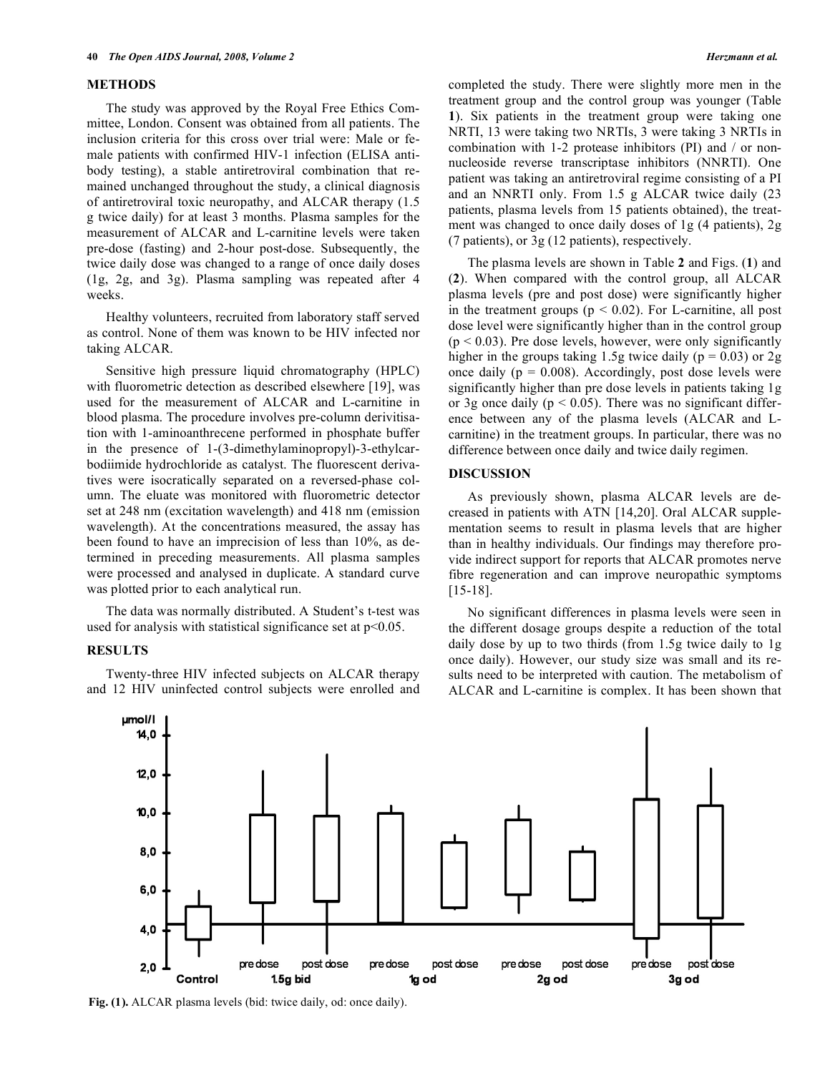#### **METHODS**

 The study was approved by the Royal Free Ethics Committee, London. Consent was obtained from all patients. The inclusion criteria for this cross over trial were: Male or female patients with confirmed HIV-1 infection (ELISA antibody testing), a stable antiretroviral combination that remained unchanged throughout the study, a clinical diagnosis of antiretroviral toxic neuropathy, and ALCAR therapy (1.5 g twice daily) for at least 3 months. Plasma samples for the measurement of ALCAR and L-carnitine levels were taken pre-dose (fasting) and 2-hour post-dose. Subsequently, the twice daily dose was changed to a range of once daily doses (1g, 2g, and 3g). Plasma sampling was repeated after 4 weeks.

 Healthy volunteers, recruited from laboratory staff served as control. None of them was known to be HIV infected nor taking ALCAR.

 Sensitive high pressure liquid chromatography (HPLC) with fluorometric detection as described elsewhere [19], was used for the measurement of ALCAR and L-carnitine in blood plasma. The procedure involves pre-column derivitisation with 1-aminoanthrecene performed in phosphate buffer in the presence of 1-(3-dimethylaminopropyl)-3-ethylcarbodiimide hydrochloride as catalyst. The fluorescent derivatives were isocratically separated on a reversed-phase column. The eluate was monitored with fluorometric detector set at 248 nm (excitation wavelength) and 418 nm (emission wavelength). At the concentrations measured, the assay has been found to have an imprecision of less than 10%, as determined in preceding measurements. All plasma samples were processed and analysed in duplicate. A standard curve was plotted prior to each analytical run.

 The data was normally distributed. A Student's t-test was used for analysis with statistical significance set at  $p<0.05$ .

#### **RESULTS**

 Twenty-three HIV infected subjects on ALCAR therapy and 12 HIV uninfected control subjects were enrolled and completed the study. There were slightly more men in the treatment group and the control group was younger (Table **1**). Six patients in the treatment group were taking one NRTI, 13 were taking two NRTIs, 3 were taking 3 NRTIs in combination with 1-2 protease inhibitors (PI) and / or nonnucleoside reverse transcriptase inhibitors (NNRTI). One patient was taking an antiretroviral regime consisting of a PI and an NNRTI only. From 1.5 g ALCAR twice daily (23 patients, plasma levels from 15 patients obtained), the treatment was changed to once daily doses of 1g (4 patients), 2g (7 patients), or 3g (12 patients), respectively.

 The plasma levels are shown in Table **2** and Figs. (**1**) and (**2**). When compared with the control group, all ALCAR plasma levels (pre and post dose) were significantly higher in the treatment groups ( $p < 0.02$ ). For L-carnitine, all post dose level were significantly higher than in the control group  $(p < 0.03)$ . Pre dose levels, however, were only significantly higher in the groups taking 1.5g twice daily ( $p = 0.03$ ) or 2g once daily ( $p = 0.008$ ). Accordingly, post dose levels were significantly higher than pre dose levels in patients taking 1g or 3g once daily ( $p < 0.05$ ). There was no significant difference between any of the plasma levels (ALCAR and Lcarnitine) in the treatment groups. In particular, there was no difference between once daily and twice daily regimen.

## **DISCUSSION**

 As previously shown, plasma ALCAR levels are decreased in patients with ATN [14,20]. Oral ALCAR supplementation seems to result in plasma levels that are higher than in healthy individuals. Our findings may therefore provide indirect support for reports that ALCAR promotes nerve fibre regeneration and can improve neuropathic symptoms [15-18].

 No significant differences in plasma levels were seen in the different dosage groups despite a reduction of the total daily dose by up to two thirds (from 1.5g twice daily to 1g once daily). However, our study size was small and its results need to be interpreted with caution. The metabolism of ALCAR and L-carnitine is complex. It has been shown that



**Fig. (1).** ALCAR plasma levels (bid: twice daily, od: once daily).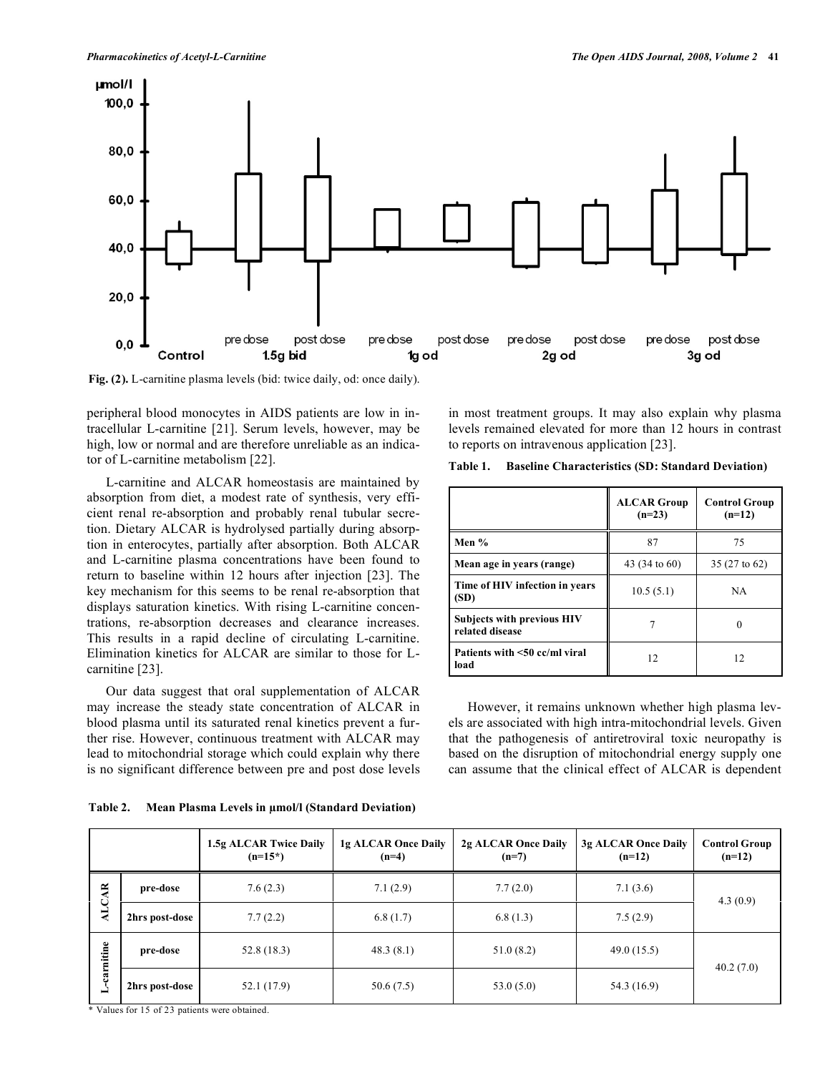

**Fig. (2).** L-carnitine plasma levels (bid: twice daily, od: once daily).

peripheral blood monocytes in AIDS patients are low in intracellular L-carnitine [21]. Serum levels, however, may be high, low or normal and are therefore unreliable as an indicator of L-carnitine metabolism [22].

 L-carnitine and ALCAR homeostasis are maintained by absorption from diet, a modest rate of synthesis, very efficient renal re-absorption and probably renal tubular secretion. Dietary ALCAR is hydrolysed partially during absorption in enterocytes, partially after absorption. Both ALCAR and L-carnitine plasma concentrations have been found to return to baseline within 12 hours after injection [23]. The key mechanism for this seems to be renal re-absorption that displays saturation kinetics. With rising L-carnitine concentrations, re-absorption decreases and clearance increases. This results in a rapid decline of circulating L-carnitine. Elimination kinetics for ALCAR are similar to those for Lcarnitine [23].

 Our data suggest that oral supplementation of ALCAR may increase the steady state concentration of ALCAR in blood plasma until its saturated renal kinetics prevent a further rise. However, continuous treatment with ALCAR may lead to mitochondrial storage which could explain why there is no significant difference between pre and post dose levels in most treatment groups. It may also explain why plasma levels remained elevated for more than 12 hours in contrast to reports on intravenous application [23].

| Table 1. | <b>Baseline Characteristics (SD: Standard Deviation)</b> |
|----------|----------------------------------------------------------|
|----------|----------------------------------------------------------|

|                                                      | <b>ALCAR Group</b><br>$(n=23)$ | <b>Control Group</b><br>$(n=12)$ |
|------------------------------------------------------|--------------------------------|----------------------------------|
| Men %                                                | 87                             | 75                               |
| Mean age in years (range)                            | 43 (34 to 60)                  | 35 (27 to 62)                    |
| Time of HIV infection in years<br>(SD)               | 10.5(5.1)                      | <b>NA</b>                        |
| <b>Subjects with previous HIV</b><br>related disease |                                |                                  |
| Patients with $\leq 50$ cc/ml viral<br>load          | 12                             | 12                               |

 However, it remains unknown whether high plasma levels are associated with high intra-mitochondrial levels. Given that the pathogenesis of antiretroviral toxic neuropathy is based on the disruption of mitochondrial energy supply one can assume that the clinical effect of ALCAR is dependent

| Table 2. | Mean Plasma Levels in $\mu$ mol/l (Standard Deviation) |  |  |  |  |
|----------|--------------------------------------------------------|--|--|--|--|
|----------|--------------------------------------------------------|--|--|--|--|

|                 |                | 1.5g ALCAR Twice Daily<br>$(n=15^*)$ | 1g ALCAR Once Daily<br>$(n=4)$ | 2g ALCAR Once Daily<br>$(n=7)$ | 3g ALCAR Once Daily<br>$(n=12)$ | <b>Control Group</b><br>$(n=12)$ |
|-----------------|----------------|--------------------------------------|--------------------------------|--------------------------------|---------------------------------|----------------------------------|
| $\overline{AB}$ | pre-dose       | 7.6(2.3)                             | 7.1(2.9)                       | 7.7(2.0)                       | 7.1(3.6)                        | 4.3(0.9)                         |
| <b>ALC</b>      | 2hrs post-dose | 7.7(2.2)                             | 6.8(1.7)                       | 6.8(1.3)                       | 7.5(2.9)                        |                                  |
| carnitine       | pre-dose       | 52.8(18.3)                           | 48.3(8.1)                      | 51.0(8.2)                      | 49.0(15.5)                      |                                  |
|                 | 2hrs post-dose | 52.1 (17.9)                          | 50.6(7.5)                      | 53.0(5.0)                      | 54.3 (16.9)                     | 40.2(7.0)                        |

\* Values for 15 of 23 patients were obtained.